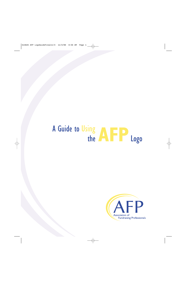# A Guide to Using<br>the ALP Logo

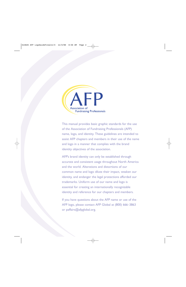

This manual provides basic graphic standards for the use of the Association of Fundraising Professionals (AFP) name, logo, and identity. These guidelines are intended to assist AFP chapters and members in their use of the name and logo in a manner that complies with the brand identity objectives of the association.

AFP's brand identity can only be established through accurate and consistent usage throughout North America and the world. Alterations and distortions of our common name and logo dilute their impact, weaken our identity, and endanger the legal protections afforded our trademarks. Uniform use of our name and logo is essential for creating an internationally recognizable identity and reference for our chapters and members.

If you have questions about the AFP name or use of the AFP logo, please contact AFP Global at (800) 666–3863 or paffairs@afpglobal.org.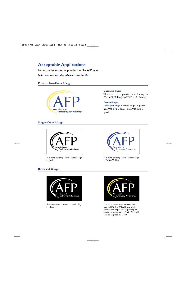# **Acceptable Applications**

Below are the correct applications of the AFP logo. *Note: The colors vary depending on paper selected.*

## **Positive Two-Color Usage**



#### **Uncoated Paper**

This is the correct positive two-color logo in PMS 072 U (blue) and PMS 115 U (gold).

#### **Coated Paper**

When printing on coated or glossy paper, use PMS 072 C (blue) and PMS 123 C (gold).

### **Single-Color Usage**



This is the correct positive one-color logo in black.



This is the correct positive one-color logo in PMS 072 (blue).

## **Reversed Usage**



This is the correct reversed one-color logo in white.



This is the correct reversed two-color logo in PMS 115 U (gold) and white, on uncoated paper. When printing on coated or glossy paper, PMS 123 C will be used in place of 115 U.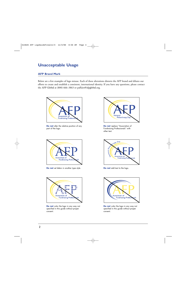# **Unacceptable Usage**

### **AFP Brand Mark**

Below are a few examples of logo misuse. Each of these alterations distorts the AFP brand and dilutes our efforts to create and establish a consistent, international identity. If you have any questions, please contact the AFP Global at (800) 666–3863 or paffairs@afpglobal.org.



**Do not** alter the relative position of any part of the logo.



**Do not** set letters in another type style. **Do not** add text to the logo.



**Do not** color the logo in any way not specified in this guide without proper consent.



**Do not** replace "Association of Fundraising Professionals" with other text.





**Do not** color the logo in any way not specified in this guide without proper consent.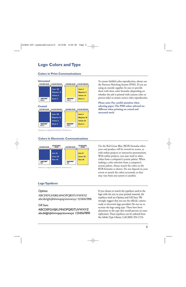# **Logo Colors and Type**

#### **Colors in Print Communications**



To ensure faithful color reproduction, always use the Pantone Matching System (PMS). If you are using an outside supplier, be sure to provide them with these color formulas (depending on whether the job is printed with custom color or process inks) to ensure correct color reproduction.

**Please note: Pay careful attention when selecting paper. The PMS colors selected are different when printing on coated and uncoated stock.**

Pantone is a registered trademark of Pantone Inc.

### **Colors in Electronic Communications**



Pantone is a registered trademark of Pantone Inc.

## **Logo Typefaces**

#### Optima

ABCDEFGHIJKLMNOPQRSTUVWXYZ abcdefghijklmnopqrstuvwxyz 1234567890

#### Gill Sans

ABCDEFGHIJKLMNOPQRSTUVWXYZ abcdefghijklmnopqrstuvwxyz 1234567890 Use the Red Green Blue (RGB) formulas when your end product will be viewed on screen, as with online projects or interactive presentations. With online projects, you may need to select colors from a computer's system palette. When making a color selection from a computer's system palette, always match the colors to the RGB formulas as shown. Do not depend on your screen to match the colors accurately, as they may vary from one system to another.

If you choose to match the typefaces used in the logo with the text in your printed material, the typefaces used are Optima and Gill Sans. We strongly suggest that you use the official, cameraready or electronic logo provided. Do not try to recreate the logo using type. There have been alterations to the type that would prevent an exact replication. These typefaces can be ordered from the Adobe Type Library. Call (800) 294-1724.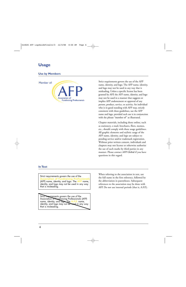## **Usage**

### **Use by Members**



Strict requirements govern the use of the AFP name, identity, and logo. The AFP name, identity, and logo may not be used in any way that is misleading. Unless a specific license has been granted by AFP, the AFP name, identity, and logo may not be used in a manner that suggests or implies AFP endorsement or approval of any person, product, service, or activity. An individual who is in good standing with AFP may, strictly consistent with these guidelines, use the AFP name and logo, provided such use is in conjunction with the phrase "member of" as illustrated.

Chapter materials, including those online, such as stationery, e-mail, brochures, fliers, memos, etc., should comply with these usage guidelines. All graphic elements and stylistic usage of the AFP name, identity, and logo are subject to pending service and/or trademark registration. Without prior written consent, individuals and chapters may not license or otherwise authorize the use of such marks by third parties in any manner. Please contact AFP Global if you have questions in this regard.

#### **In Text**

Strict requirements govern the use of the **Association of Fundraising Professionals** (AFP) name, identity, and logo. The **AFP** name, identity, and logo may not be used in any way that is misleading.

Strict requirements govern the use of the Association of Fundraising Professionals (AFP) name, identity, and logo. The **A.F.P.** name, identity, and logo may not be used in any way that is misleading.

When referring to the association in text, use the full name in the first reference, followed by the abbreviation in parentheses. Subsequent references to the association may be done with AFP. Do not use internal periods (that is, A.F.P.).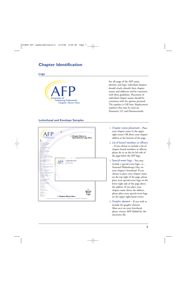## **Chapter Identification**

#### **Logo**



For all usage of the AFP name, identity, and logo, individual chapters should clearly identify their chapter names and addresses and be consistent with these guidelines. Placement of individual chapter names should be consistent with the options pictured. The typeface is Gill Sans. Replacement typefaces that may be used are Humanist 521 and Hammersmith.

### **Letterhead and Envelope Samples**



- 1. Chapter name placement Place your chapter name in the upper right corner OR above your chapter address at the bottom of the page.
- 2. List of board members or officers – If you choose to include a list of chapter board members or officers, please do so on the far left side of the page below the AFP logo.
- 3. Special-event logo You may include a special-event logo, i.e., National Philanthropy Day, on your chapter's letterhead. If you choose to place your chapter name on the top right of the page, please place your special-event logo on the lower right side of the page above the address. If you place your chapter name above the address, please place your special-event logo on the upper right-hand corner.
- 4. Graphic element If you wish to include the graphic element (blue arcs) on your letterhead, please contact AFP Global for the electronic file.